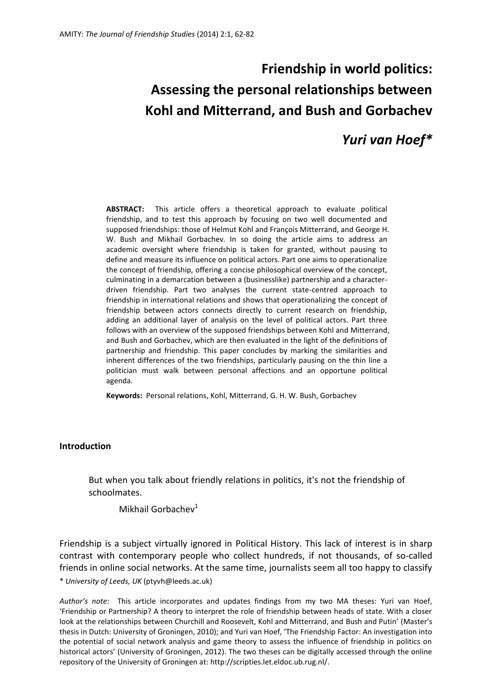# **Friendship in world politics: Assessing the personal relationships between Kohl and Mitterrand, and Bush and Gorbachev**

# *Yuri van Hoef\**

**ABSTRACT:** This article offers a theoretical approach to evaluate political friendship, and to test this approach by focusing on two well documented and supposed friendships: those of Helmut Kohl and François Mitterrand, and George H. W. Bush and Mikhail Gorbachev. In so doing the article aims to address an academic oversight where friendship is taken for granted, without pausing to define and measure its influence on political actors. Part one aims to operationalize the concept of friendship, offering a concise philosophical overview of the concept, culminating in a demarcation between a (businesslike) partnership and a characterdriven friendship. Part two analyses the current state-centred approach to friendship in international relations and shows that operationalizing the concept of friendship between actors connects directly to current research on friendship, adding an additional layer of analysis on the level of political actors. Part three follows with an overview of the supposed friendships between Kohl and Mitterrand, and Bush and Gorbachev, which are then evaluated in the light of the definitions of partnership and friendship. This paper concludes by marking the similarities and inherent differences of the two friendships, particularly pausing on the thin line a politician must walk between personal affections and an opportune political agenda.

**Keywords:** Personal relations, Kohl, Mitterrand, G. H. W. Bush, Gorbachev

#### **Introduction**

But when you talk about friendly relations in politics, it's not the friendship of schoolmates.

Mikhail Gorbachev $1$ 

\* *University of Leeds, UK* (ptyvh@leeds.ac.uk) Friendship is a subject virtually ignored in Political History. This lack of interest is in sharp contrast with contemporary people who collect hundreds, if not thousands, of so-called friends in online social networks. At the same time, journalists seem all too happy to classify

*Author's note:* This article incorporates and updates findings from my two MA theses: Yuri van Hoef, 'Friendship or Partnership? A theory to interpret the role of friendship between heads of state. With a closer look at the relationships between Churchill and Roosevelt, Kohl and Mitterrand, and Bush and Putin' (Master's thesis in Dutch: University of Groningen, 2010); and Yuri van Hoef, 'The Friendship Factor: An investigation into the potential of social network analysis and game theory to assess the influence of friendship in politics on historical actors' (University of Groningen, 2012). The two theses can be digitally accessed through the online repository of the University of Groningen at: http://scripties.let.eldoc.ub.rug.nl/.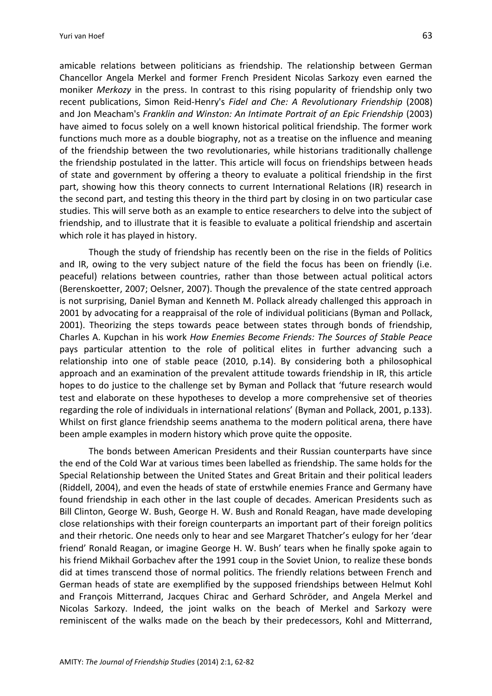amicable relations between politicians as friendship. The relationship between German Chancellor Angela Merkel and former French President Nicolas Sarkozy even earned the moniker *Merkozy* in the press. In contrast to this rising popularity of friendship only two recent publications, Simon Reid-Henry's *Fidel and Che: A Revolutionary Friendship* (2008) and Jon Meacham's *Franklin and Winston: An Intimate Portrait of an Epic Friendship* (2003) have aimed to focus solely on a well known historical political friendship. The former work functions much more as a double biography, not as a treatise on the influence and meaning of the friendship between the two revolutionaries, while historians traditionally challenge the friendship postulated in the latter. This article will focus on friendships between heads of state and government by offering a theory to evaluate a political friendship in the first part, showing how this theory connects to current International Relations (IR) research in the second part, and testing this theory in the third part by closing in on two particular case studies. This will serve both as an example to entice researchers to delve into the subject of friendship, and to illustrate that it is feasible to evaluate a political friendship and ascertain which role it has played in history.

Though the study of friendship has recently been on the rise in the fields of Politics and IR, owing to the very subject nature of the field the focus has been on friendly (i.e. peaceful) relations between countries, rather than those between actual political actors (Berenskoetter, 2007; Oelsner, 2007). Though the prevalence of the state centred approach is not surprising, Daniel Byman and Kenneth M. Pollack already challenged this approach in 2001 by advocating for a reappraisal of the role of individual politicians (Byman and Pollack, 2001). Theorizing the steps towards peace between states through bonds of friendship, Charles A. Kupchan in his work *How Enemies Become Friends: The Sources of Stable Peace*  pays particular attention to the role of political elites in further advancing such a relationship into one of stable peace (2010, p.14). By considering both a philosophical approach and an examination of the prevalent attitude towards friendship in IR, this article hopes to do justice to the challenge set by Byman and Pollack that 'future research would test and elaborate on these hypotheses to develop a more comprehensive set of theories regarding the role of individuals in international relations' (Byman and Pollack, 2001, p.133). Whilst on first glance friendship seems anathema to the modern political arena, there have been ample examples in modern history which prove quite the opposite.

The bonds between American Presidents and their Russian counterparts have since the end of the Cold War at various times been labelled as friendship. The same holds for the Special Relationship between the United States and Great Britain and their political leaders (Riddell, 2004), and even the heads of state of erstwhile enemies France and Germany have found friendship in each other in the last couple of decades. American Presidents such as Bill Clinton, George W. Bush, George H. W. Bush and Ronald Reagan, have made developing close relationships with their foreign counterparts an important part of their foreign politics and their rhetoric. One needs only to hear and see Margaret Thatcher's eulogy for her 'dear friend' Ronald Reagan, or imagine George H. W. Bush' tears when he finally spoke again to his friend Mikhail Gorbachev after the 1991 coup in the Soviet Union, to realize these bonds did at times transcend those of normal politics. The friendly relations between French and German heads of state are exemplified by the supposed friendships between Helmut Kohl and François Mitterrand, Jacques Chirac and Gerhard Schröder, and Angela Merkel and Nicolas Sarkozy. Indeed, the joint walks on the beach of Merkel and Sarkozy were reminiscent of the walks made on the beach by their predecessors, Kohl and Mitterrand,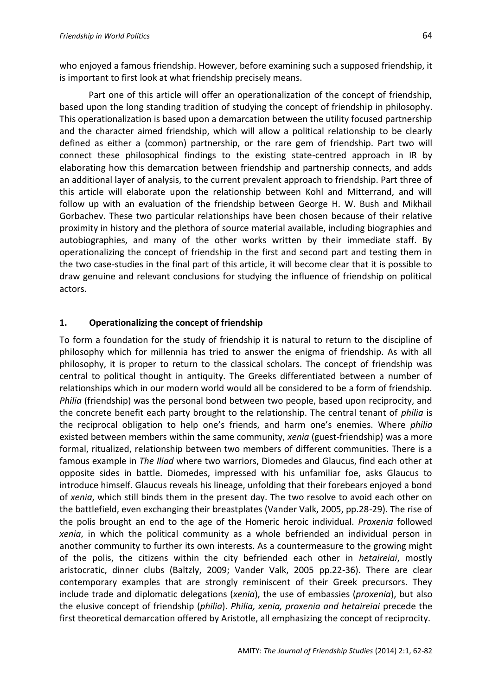who enjoyed a famous friendship. However, before examining such a supposed friendship, it is important to first look at what friendship precisely means.

Part one of this article will offer an operationalization of the concept of friendship, based upon the long standing tradition of studying the concept of friendship in philosophy. This operationalization is based upon a demarcation between the utility focused partnership and the character aimed friendship, which will allow a political relationship to be clearly defined as either a (common) partnership, or the rare gem of friendship. Part two will connect these philosophical findings to the existing state-centred approach in IR by elaborating how this demarcation between friendship and partnership connects, and adds an additional layer of analysis, to the current prevalent approach to friendship. Part three of this article will elaborate upon the relationship between Kohl and Mitterrand, and will follow up with an evaluation of the friendship between George H. W. Bush and Mikhail Gorbachev. These two particular relationships have been chosen because of their relative proximity in history and the plethora of source material available, including biographies and autobiographies, and many of the other works written by their immediate staff. By operationalizing the concept of friendship in the first and second part and testing them in the two case-studies in the final part of this article, it will become clear that it is possible to draw genuine and relevant conclusions for studying the influence of friendship on political actors.

# **1. Operationalizing the concept of friendship**

To form a foundation for the study of friendship it is natural to return to the discipline of philosophy which for millennia has tried to answer the enigma of friendship. As with all philosophy, it is proper to return to the classical scholars. The concept of friendship was central to political thought in antiquity. The Greeks differentiated between a number of relationships which in our modern world would all be considered to be a form of friendship. *Philia* (friendship) was the personal bond between two people, based upon reciprocity, and the concrete benefit each party brought to the relationship. The central tenant of *philia* is the reciprocal obligation to help one's friends, and harm one's enemies. Where *philia* existed between members within the same community, *xenia* (guest-friendship) was a more formal, ritualized, relationship between two members of different communities. There is a famous example in *The Iliad* where two warriors, Diomedes and Glaucus, find each other at opposite sides in battle. Diomedes, impressed with his unfamiliar foe, asks Glaucus to introduce himself. Glaucus reveals his lineage, unfolding that their forebears enjoyed a bond of *xenia*, which still binds them in the present day. The two resolve to avoid each other on the battlefield, even exchanging their breastplates (Vander Valk, 2005, pp.28-29). The rise of the polis brought an end to the age of the Homeric heroic individual. *Proxenia* followed *xenia*, in which the political community as a whole befriended an individual person in another community to further its own interests. As a countermeasure to the growing might of the polis, the citizens within the city befriended each other in *hetaireiai*, mostly aristocratic, dinner clubs (Baltzly, 2009; Vander Valk, 2005 pp.22-36). There are clear contemporary examples that are strongly reminiscent of their Greek precursors. They include trade and diplomatic delegations (*xenia*), the use of embassies (*proxenia*), but also the elusive concept of friendship (*philia*). *Philia, xenia, proxenia and hetaireiai* precede the first theoretical demarcation offered by Aristotle, all emphasizing the concept of reciprocity.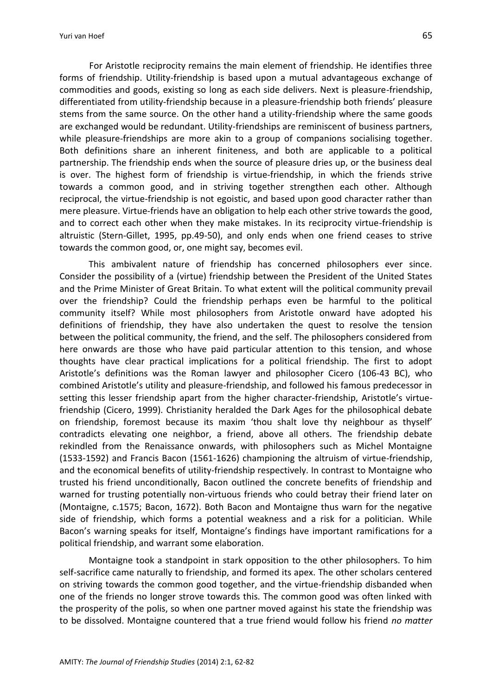For Aristotle reciprocity remains the main element of friendship. He identifies three forms of friendship. Utility-friendship is based upon a mutual advantageous exchange of commodities and goods, existing so long as each side delivers. Next is pleasure-friendship, differentiated from utility-friendship because in a pleasure-friendship both friends' pleasure stems from the same source. On the other hand a utility-friendship where the same goods are exchanged would be redundant. Utility-friendships are reminiscent of business partners, while pleasure-friendships are more akin to a group of companions socialising together. Both definitions share an inherent finiteness, and both are applicable to a political partnership. The friendship ends when the source of pleasure dries up, or the business deal is over. The highest form of friendship is virtue-friendship, in which the friends strive towards a common good, and in striving together strengthen each other. Although reciprocal, the virtue-friendship is not egoistic, and based upon good character rather than mere pleasure. Virtue-friends have an obligation to help each other strive towards the good, and to correct each other when they make mistakes. In its reciprocity virtue-friendship is altruistic (Stern-Gillet, 1995, pp.49-50), and only ends when one friend ceases to strive towards the common good, or, one might say, becomes evil.

This ambivalent nature of friendship has concerned philosophers ever since. Consider the possibility of a (virtue) friendship between the President of the United States and the Prime Minister of Great Britain. To what extent will the political community prevail over the friendship? Could the friendship perhaps even be harmful to the political community itself? While most philosophers from Aristotle onward have adopted his definitions of friendship, they have also undertaken the quest to resolve the tension between the political community, the friend, and the self. The philosophers considered from here onwards are those who have paid particular attention to this tension, and whose thoughts have clear practical implications for a political friendship. The first to adopt Aristotle's definitions was the Roman lawyer and philosopher Cicero (106-43 BC), who combined Aristotle's utility and pleasure-friendship, and followed his famous predecessor in setting this lesser friendship apart from the higher character-friendship, Aristotle's virtuefriendship (Cicero, 1999). Christianity heralded the Dark Ages for the philosophical debate on friendship, foremost because its maxim 'thou shalt love thy neighbour as thyself' contradicts elevating one neighbor, a friend, above all others. The friendship debate rekindled from the Renaissance onwards, with philosophers such as Michel Montaigne (1533-1592) and Francis Bacon (1561-1626) championing the altruism of virtue-friendship, and the economical benefits of utility-friendship respectively. In contrast to Montaigne who trusted his friend unconditionally, Bacon outlined the concrete benefits of friendship and warned for trusting potentially non-virtuous friends who could betray their friend later on (Montaigne, c.1575; Bacon, 1672). Both Bacon and Montaigne thus warn for the negative side of friendship, which forms a potential weakness and a risk for a politician. While Bacon's warning speaks for itself, Montaigne's findings have important ramifications for a political friendship, and warrant some elaboration.

Montaigne took a standpoint in stark opposition to the other philosophers. To him self-sacrifice came naturally to friendship, and formed its apex. The other scholars centered on striving towards the common good together, and the virtue-friendship disbanded when one of the friends no longer strove towards this. The common good was often linked with the prosperity of the polis, so when one partner moved against his state the friendship was to be dissolved. Montaigne countered that a true friend would follow his friend *no matter*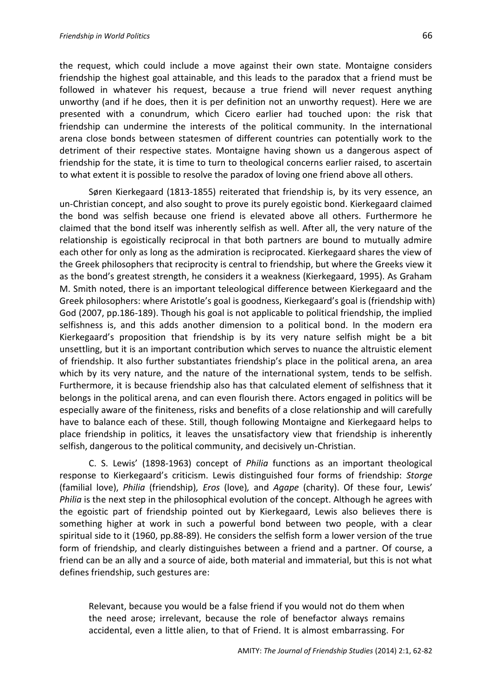the request, which could include a move against their own state. Montaigne considers friendship the highest goal attainable, and this leads to the paradox that a friend must be followed in whatever his request, because a true friend will never request anything unworthy (and if he does, then it is per definition not an unworthy request). Here we are presented with a conundrum, which Cicero earlier had touched upon: the risk that friendship can undermine the interests of the political community. In the international arena close bonds between statesmen of different countries can potentially work to the detriment of their respective states. Montaigne having shown us a dangerous aspect of friendship for the state, it is time to turn to theological concerns earlier raised, to ascertain to what extent it is possible to resolve the paradox of loving one friend above all others.

Søren Kierkegaard (1813-1855) reiterated that friendship is, by its very essence, an un-Christian concept, and also sought to prove its purely egoistic bond. Kierkegaard claimed the bond was selfish because one friend is elevated above all others. Furthermore he claimed that the bond itself was inherently selfish as well. After all, the very nature of the relationship is egoistically reciprocal in that both partners are bound to mutually admire each other for only as long as the admiration is reciprocated. Kierkegaard shares the view of the Greek philosophers that reciprocity is central to friendship, but where the Greeks view it as the bond's greatest strength, he considers it a weakness (Kierkegaard, 1995). As Graham M. Smith noted, there is an important teleological difference between Kierkegaard and the Greek philosophers: where Aristotle's goal is goodness, Kierkegaard's goal is (friendship with) God (2007, pp.186-189). Though his goal is not applicable to political friendship, the implied selfishness is, and this adds another dimension to a political bond. In the modern era Kierkegaard's proposition that friendship is by its very nature selfish might be a bit unsettling, but it is an important contribution which serves to nuance the altruistic element of friendship. It also further substantiates friendship's place in the political arena, an area which by its very nature, and the nature of the international system, tends to be selfish. Furthermore, it is because friendship also has that calculated element of selfishness that it belongs in the political arena, and can even flourish there. Actors engaged in politics will be especially aware of the finiteness, risks and benefits of a close relationship and will carefully have to balance each of these. Still, though following Montaigne and Kierkegaard helps to place friendship in politics, it leaves the unsatisfactory view that friendship is inherently selfish, dangerous to the political community, and decisively un-Christian.

C. S. Lewis' (1898-1963) concept of *Philia* functions as an important theological response to Kierkegaard's criticism. Lewis distinguished four forms of friendship: *Storge* (familial love), *Philia* (friendship)*, Eros* (love)*,* and *Agape* (charity). Of these four, Lewis' *Philia* is the next step in the philosophical evolution of the concept. Although he agrees with the egoistic part of friendship pointed out by Kierkegaard, Lewis also believes there is something higher at work in such a powerful bond between two people, with a clear spiritual side to it (1960, pp.88-89). He considers the selfish form a lower version of the true form of friendship, and clearly distinguishes between a friend and a partner*.* Of course, a friend can be an ally and a source of aide, both material and immaterial, but this is not what defines friendship, such gestures are:

Relevant, because you would be a false friend if you would not do them when the need arose; irrelevant, because the role of benefactor always remains accidental, even a little alien, to that of Friend. It is almost embarrassing. For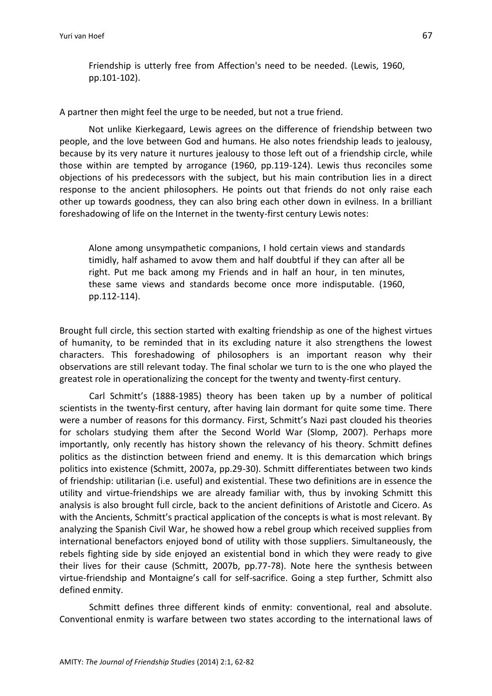Friendship is utterly free from Affection's need to be needed. (Lewis, 1960, pp.101-102).

A partner then might feel the urge to be needed, but not a true friend.

Not unlike Kierkegaard, Lewis agrees on the difference of friendship between two people, and the love between God and humans. He also notes friendship leads to jealousy, because by its very nature it nurtures jealousy to those left out of a friendship circle, while those within are tempted by arrogance (1960, pp.119-124). Lewis thus reconciles some objections of his predecessors with the subject, but his main contribution lies in a direct response to the ancient philosophers. He points out that friends do not only raise each other up towards goodness, they can also bring each other down in evilness. In a brilliant foreshadowing of life on the Internet in the twenty-first century Lewis notes:

Alone among unsympathetic companions, I hold certain views and standards timidly, half ashamed to avow them and half doubtful if they can after all be right. Put me back among my Friends and in half an hour, in ten minutes, these same views and standards become once more indisputable. (1960, pp.112-114).

Brought full circle, this section started with exalting friendship as one of the highest virtues of humanity, to be reminded that in its excluding nature it also strengthens the lowest characters. This foreshadowing of philosophers is an important reason why their observations are still relevant today. The final scholar we turn to is the one who played the greatest role in operationalizing the concept for the twenty and twenty-first century.

Carl Schmitt's (1888-1985) theory has been taken up by a number of political scientists in the twenty-first century, after having lain dormant for quite some time. There were a number of reasons for this dormancy. First, Schmitt's Nazi past clouded his theories for scholars studying them after the Second World War (Slomp, 2007). Perhaps more importantly, only recently has history shown the relevancy of his theory. Schmitt defines politics as the distinction between friend and enemy. It is this demarcation which brings politics into existence (Schmitt, 2007a, pp.29-30). Schmitt differentiates between two kinds of friendship: utilitarian (i.e. useful) and existential. These two definitions are in essence the utility and virtue-friendships we are already familiar with, thus by invoking Schmitt this analysis is also brought full circle, back to the ancient definitions of Aristotle and Cicero. As with the Ancients, Schmitt's practical application of the concepts is what is most relevant. By analyzing the Spanish Civil War, he showed how a rebel group which received supplies from international benefactors enjoyed bond of utility with those suppliers. Simultaneously, the rebels fighting side by side enjoyed an existential bond in which they were ready to give their lives for their cause (Schmitt, 2007b, pp.77-78). Note here the synthesis between virtue-friendship and Montaigne's call for self-sacrifice. Going a step further, Schmitt also defined enmity.

Schmitt defines three different kinds of enmity: conventional, real and absolute. Conventional enmity is warfare between two states according to the international laws of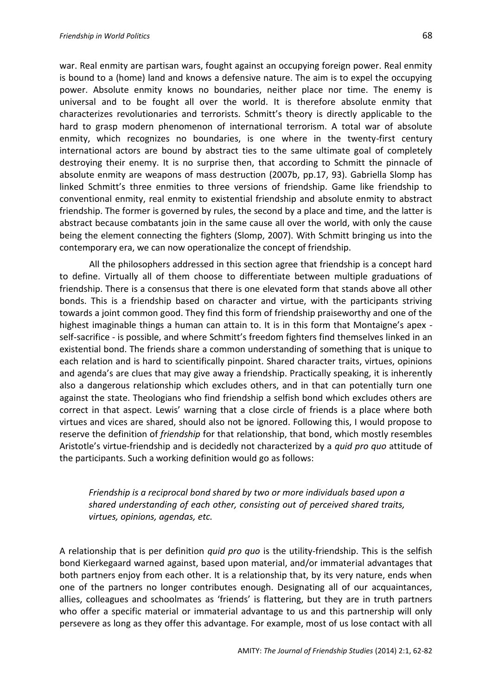war. Real enmity are partisan wars, fought against an occupying foreign power. Real enmity is bound to a (home) land and knows a defensive nature. The aim is to expel the occupying power. Absolute enmity knows no boundaries, neither place nor time. The enemy is universal and to be fought all over the world. It is therefore absolute enmity that characterizes revolutionaries and terrorists. Schmitt's theory is directly applicable to the hard to grasp modern phenomenon of international terrorism. A total war of absolute enmity, which recognizes no boundaries, is one where in the twenty-first century international actors are bound by abstract ties to the same ultimate goal of completely destroying their enemy. It is no surprise then, that according to Schmitt the pinnacle of absolute enmity are weapons of mass destruction (2007b, pp.17, 93). Gabriella Slomp has linked Schmitt's three enmities to three versions of friendship. Game like friendship to conventional enmity, real enmity to existential friendship and absolute enmity to abstract friendship. The former is governed by rules, the second by a place and time, and the latter is abstract because combatants join in the same cause all over the world, with only the cause being the element connecting the fighters (Slomp, 2007). With Schmitt bringing us into the contemporary era, we can now operationalize the concept of friendship.

All the philosophers addressed in this section agree that friendship is a concept hard to define. Virtually all of them choose to differentiate between multiple graduations of friendship. There is a consensus that there is one elevated form that stands above all other bonds. This is a friendship based on character and virtue, with the participants striving towards a joint common good. They find this form of friendship praiseworthy and one of the highest imaginable things a human can attain to. It is in this form that Montaigne's apex self-sacrifice - is possible, and where Schmitt's freedom fighters find themselves linked in an existential bond. The friends share a common understanding of something that is unique to each relation and is hard to scientifically pinpoint. Shared character traits, virtues, opinions and agenda's are clues that may give away a friendship. Practically speaking, it is inherently also a dangerous relationship which excludes others, and in that can potentially turn one against the state. Theologians who find friendship a selfish bond which excludes others are correct in that aspect. Lewis' warning that a close circle of friends is a place where both virtues and vices are shared, should also not be ignored. Following this, I would propose to reserve the definition of *friendship* for that relationship, that bond, which mostly resembles Aristotle's virtue-friendship and is decidedly not characterized by a *quid pro quo* attitude of the participants. Such a working definition would go as follows:

# *Friendship is a reciprocal bond shared by two or more individuals based upon a shared understanding of each other, consisting out of perceived shared traits, virtues, opinions, agendas, etc.*

A relationship that is per definition *quid pro quo* is the utility-friendship. This is the selfish bond Kierkegaard warned against, based upon material, and/or immaterial advantages that both partners enjoy from each other. It is a relationship that, by its very nature, ends when one of the partners no longer contributes enough. Designating all of our acquaintances, allies, colleagues and schoolmates as 'friends' is flattering, but they are in truth partners who offer a specific material or immaterial advantage to us and this partnership will only persevere as long as they offer this advantage. For example, most of us lose contact with all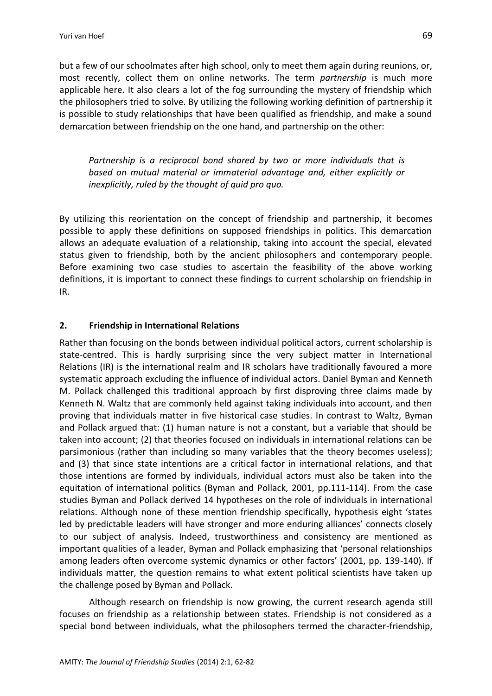but a few of our schoolmates after high school, only to meet them again during reunions, or, most recently, collect them on online networks. The term *partnership* is much more applicable here. It also clears a lot of the fog surrounding the mystery of friendship which the philosophers tried to solve. By utilizing the following working definition of partnership it is possible to study relationships that have been qualified as friendship, and make a sound demarcation between friendship on the one hand, and partnership on the other:

*Partnership is a reciprocal bond shared by two or more individuals that is based on mutual material or immaterial advantage and, either explicitly or inexplicitly, ruled by the thought of quid pro quo.*

By utilizing this reorientation on the concept of friendship and partnership, it becomes possible to apply these definitions on supposed friendships in politics. This demarcation allows an adequate evaluation of a relationship, taking into account the special, elevated status given to friendship, both by the ancient philosophers and contemporary people. Before examining two case studies to ascertain the feasibility of the above working definitions, it is important to connect these findings to current scholarship on friendship in IR.

## **2. Friendship in International Relations**

Rather than focusing on the bonds between individual political actors, current scholarship is state-centred. This is hardly surprising since the very subject matter in International Relations (IR) is the international realm and IR scholars have traditionally favoured a more systematic approach excluding the influence of individual actors. Daniel Byman and Kenneth M. Pollack challenged this traditional approach by first disproving three claims made by Kenneth N. Waltz that are commonly held against taking individuals into account, and then proving that individuals matter in five historical case studies. In contrast to Waltz, Byman and Pollack argued that: (1) human nature is not a constant, but a variable that should be taken into account; (2) that theories focused on individuals in international relations can be parsimonious (rather than including so many variables that the theory becomes useless); and (3) that since state intentions are a critical factor in international relations, and that those intentions are formed by individuals, individual actors must also be taken into the equitation of international politics (Byman and Pollack, 2001, pp.111-114). From the case studies Byman and Pollack derived 14 hypotheses on the role of individuals in international relations. Although none of these mention friendship specifically, hypothesis eight 'states led by predictable leaders will have stronger and more enduring alliances' connects closely to our subject of analysis. Indeed, trustworthiness and consistency are mentioned as important qualities of a leader, Byman and Pollack emphasizing that 'personal relationships among leaders often overcome systemic dynamics or other factors' (2001, pp. 139-140). If individuals matter, the question remains to what extent political scientists have taken up the challenge posed by Byman and Pollack.

Although research on friendship is now growing, the current research agenda still focuses on friendship as a relationship between states. Friendship is not considered as a special bond between individuals, what the philosophers termed the character-friendship,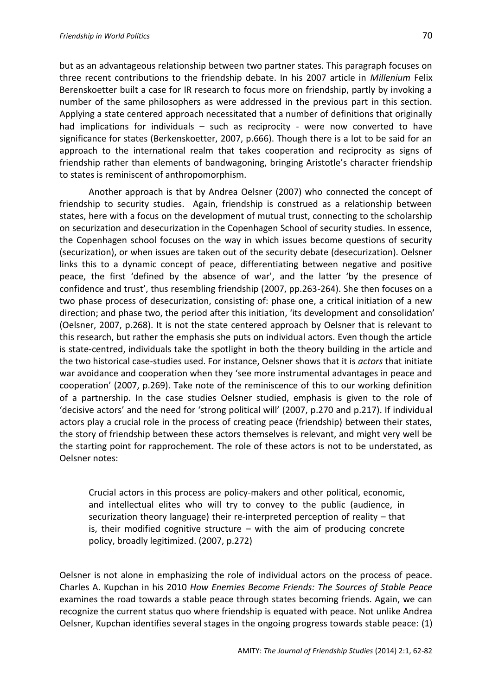but as an advantageous relationship between two partner states. This paragraph focuses on three recent contributions to the friendship debate. In his 2007 article in *Millenium* Felix Berenskoetter built a case for IR research to focus more on friendship, partly by invoking a number of the same philosophers as were addressed in the previous part in this section. Applying a state centered approach necessitated that a number of definitions that originally had implications for individuals – such as reciprocity - were now converted to have significance for states (Berkenskoetter, 2007, p.666). Though there is a lot to be said for an approach to the international realm that takes cooperation and reciprocity as signs of friendship rather than elements of bandwagoning, bringing Aristotle's character friendship to states is reminiscent of anthropomorphism.

Another approach is that by Andrea Oelsner (2007) who connected the concept of friendship to security studies. Again, friendship is construed as a relationship between states, here with a focus on the development of mutual trust, connecting to the scholarship on securization and desecurization in the Copenhagen School of security studies. In essence, the Copenhagen school focuses on the way in which issues become questions of security (securization), or when issues are taken out of the security debate (desecurization). Oelsner links this to a dynamic concept of peace, differentiating between negative and positive peace, the first 'defined by the absence of war', and the latter 'by the presence of confidence and trust', thus resembling friendship (2007, pp.263-264). She then focuses on a two phase process of desecurization, consisting of: phase one, a critical initiation of a new direction; and phase two, the period after this initiation, 'its development and consolidation' (Oelsner, 2007, p.268). It is not the state centered approach by Oelsner that is relevant to this research, but rather the emphasis she puts on individual actors. Even though the article is state-centred, individuals take the spotlight in both the theory building in the article and the two historical case-studies used. For instance, Oelsner shows that it is *actors* that initiate war avoidance and cooperation when they 'see more instrumental advantages in peace and cooperation' (2007, p.269). Take note of the reminiscence of this to our working definition of a partnership. In the case studies Oelsner studied, emphasis is given to the role of 'decisive actors' and the need for 'strong political will' (2007, p.270 and p.217). If individual actors play a crucial role in the process of creating peace (friendship) between their states, the story of friendship between these actors themselves is relevant, and might very well be the starting point for rapprochement. The role of these actors is not to be understated, as Oelsner notes:

Crucial actors in this process are policy-makers and other political, economic, and intellectual elites who will try to convey to the public (audience, in securization theory language) their re-interpreted perception of reality – that is, their modified cognitive structure  $-$  with the aim of producing concrete policy, broadly legitimized. (2007, p.272)

Oelsner is not alone in emphasizing the role of individual actors on the process of peace. Charles A. Kupchan in his 2010 *How Enemies Become Friends: The Sources of Stable Peace*  examines the road towards a stable peace through states becoming friends. Again, we can recognize the current status quo where friendship is equated with peace. Not unlike Andrea Oelsner, Kupchan identifies several stages in the ongoing progress towards stable peace: (1)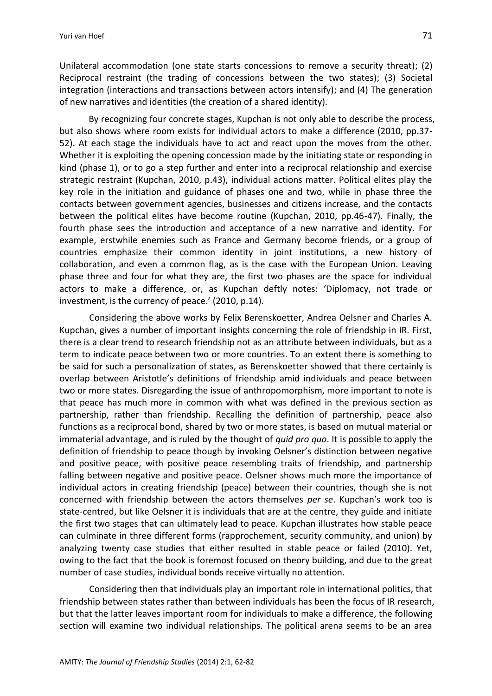Unilateral accommodation (one state starts concessions to remove a security threat); (2) Reciprocal restraint (the trading of concessions between the two states); (3) Societal integration (interactions and transactions between actors intensify); and (4) The generation of new narratives and identities (the creation of a shared identity).

By recognizing four concrete stages, Kupchan is not only able to describe the process, but also shows where room exists for individual actors to make a difference (2010, pp.37- 52). At each stage the individuals have to act and react upon the moves from the other. Whether it is exploiting the opening concession made by the initiating state or responding in kind (phase 1), or to go a step further and enter into a reciprocal relationship and exercise strategic restraint (Kupchan, 2010, p.43), individual actions matter. Political elites play the key role in the initiation and guidance of phases one and two, while in phase three the contacts between government agencies, businesses and citizens increase, and the contacts between the political elites have become routine (Kupchan, 2010, pp.46-47). Finally, the fourth phase sees the introduction and acceptance of a new narrative and identity. For example, erstwhile enemies such as France and Germany become friends, or a group of countries emphasize their common identity in joint institutions, a new history of collaboration, and even a common flag, as is the case with the European Union. Leaving phase three and four for what they are, the first two phases are the space for individual actors to make a difference, or, as Kupchan deftly notes: 'Diplomacy, not trade or investment, is the currency of peace.' (2010, p.14).

Considering the above works by Felix Berenskoetter, Andrea Oelsner and Charles A. Kupchan, gives a number of important insights concerning the role of friendship in IR. First, there is a clear trend to research friendship not as an attribute between individuals, but as a term to indicate peace between two or more countries. To an extent there is something to be said for such a personalization of states, as Berenskoetter showed that there certainly is overlap between Aristotle's definitions of friendship amid individuals and peace between two or more states. Disregarding the issue of anthropomorphism, more important to note is that peace has much more in common with what was defined in the previous section as partnership, rather than friendship. Recalling the definition of partnership, peace also functions as a reciprocal bond, shared by two or more states, is based on mutual material or immaterial advantage, and is ruled by the thought of *quid pro quo*. It is possible to apply the definition of friendship to peace though by invoking Oelsner's distinction between negative and positive peace, with positive peace resembling traits of friendship, and partnership falling between negative and positive peace. Oelsner shows much more the importance of individual actors in creating friendship (peace) between their countries, though she is not concerned with friendship between the actors themselves *per se*. Kupchan's work too is state-centred, but like Oelsner it is individuals that are at the centre, they guide and initiate the first two stages that can ultimately lead to peace. Kupchan illustrates how stable peace can culminate in three different forms (rapprochement, security community, and union) by analyzing twenty case studies that either resulted in stable peace or failed (2010). Yet, owing to the fact that the book is foremost focused on theory building, and due to the great number of case studies, individual bonds receive virtually no attention.

Considering then that individuals play an important role in international politics, that friendship between states rather than between individuals has been the focus of IR research, but that the latter leaves important room for individuals to make a difference, the following section will examine two individual relationships. The political arena seems to be an area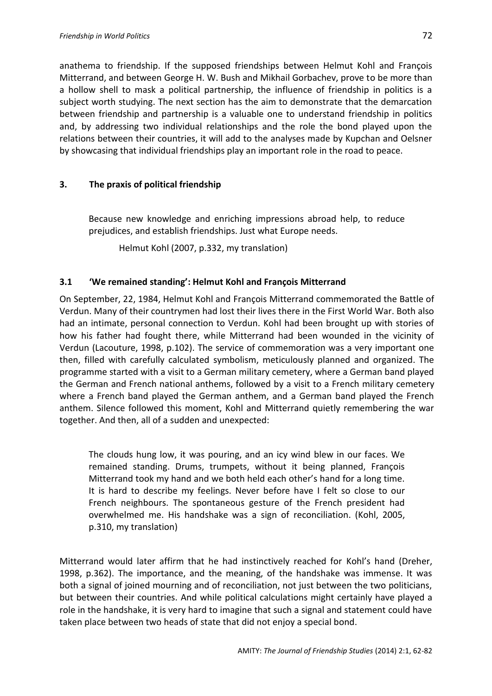anathema to friendship. If the supposed friendships between Helmut Kohl and François Mitterrand, and between George H. W. Bush and Mikhail Gorbachev, prove to be more than a hollow shell to mask a political partnership, the influence of friendship in politics is a subject worth studying. The next section has the aim to demonstrate that the demarcation between friendship and partnership is a valuable one to understand friendship in politics and, by addressing two individual relationships and the role the bond played upon the relations between their countries, it will add to the analyses made by Kupchan and Oelsner by showcasing that individual friendships play an important role in the road to peace.

## **3. The praxis of political friendship**

Because new knowledge and enriching impressions abroad help, to reduce prejudices, and establish friendships. Just what Europe needs.

Helmut Kohl (2007, p.332, my translation)

## **3.1 'We remained standing': Helmut Kohl and François Mitterrand**

On September, 22, 1984, Helmut Kohl and François Mitterrand commemorated the Battle of Verdun. Many of their countrymen had lost their lives there in the First World War. Both also had an intimate, personal connection to Verdun. Kohl had been brought up with stories of how his father had fought there, while Mitterrand had been wounded in the vicinity of Verdun (Lacouture, 1998, p.102). The service of commemoration was a very important one then, filled with carefully calculated symbolism, meticulously planned and organized. The programme started with a visit to a German military cemetery, where a German band played the German and French national anthems, followed by a visit to a French military cemetery where a French band played the German anthem, and a German band played the French anthem. Silence followed this moment, Kohl and Mitterrand quietly remembering the war together. And then, all of a sudden and unexpected:

The clouds hung low, it was pouring, and an icy wind blew in our faces. We remained standing. Drums, trumpets, without it being planned, François Mitterrand took my hand and we both held each other's hand for a long time. It is hard to describe my feelings. Never before have I felt so close to our French neighbours. The spontaneous gesture of the French president had overwhelmed me. His handshake was a sign of reconciliation. (Kohl, 2005, p.310, my translation)

Mitterrand would later affirm that he had instinctively reached for Kohl's hand (Dreher, 1998, p.362). The importance, and the meaning, of the handshake was immense. It was both a signal of joined mourning and of reconciliation, not just between the two politicians, but between their countries. And while political calculations might certainly have played a role in the handshake, it is very hard to imagine that such a signal and statement could have taken place between two heads of state that did not enjoy a special bond.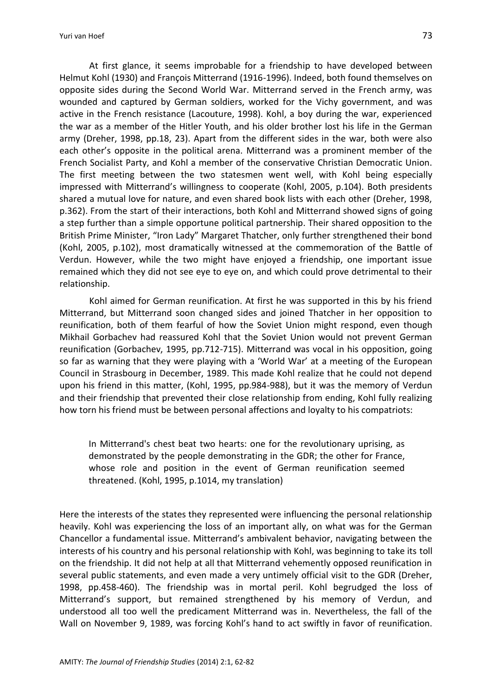Yuri van Hoef 73

At first glance, it seems improbable for a friendship to have developed between Helmut Kohl (1930) and François Mitterrand (1916-1996). Indeed, both found themselves on opposite sides during the Second World War. Mitterrand served in the French army, was wounded and captured by German soldiers, worked for the Vichy government, and was active in the French resistance (Lacouture, 1998). Kohl, a boy during the war, experienced the war as a member of the Hitler Youth, and his older brother lost his life in the German army (Dreher, 1998, pp.18, 23). Apart from the different sides in the war, both were also each other's opposite in the political arena. Mitterrand was a prominent member of the French Socialist Party, and Kohl a member of the conservative Christian Democratic Union. The first meeting between the two statesmen went well, with Kohl being especially impressed with Mitterrand's willingness to cooperate (Kohl, 2005, p.104). Both presidents shared a mutual love for nature, and even shared book lists with each other (Dreher, 1998, p.362). From the start of their interactions, both Kohl and Mitterrand showed signs of going a step further than a simple opportune political partnership. Their shared opposition to the British Prime Minister, "Iron Lady" Margaret Thatcher, only further strengthened their bond (Kohl, 2005, p.102), most dramatically witnessed at the commemoration of the Battle of Verdun. However, while the two might have enjoyed a friendship, one important issue remained which they did not see eye to eye on, and which could prove detrimental to their relationship.

Kohl aimed for German reunification. At first he was supported in this by his friend Mitterrand, but Mitterrand soon changed sides and joined Thatcher in her opposition to reunification, both of them fearful of how the Soviet Union might respond, even though Mikhail Gorbachev had reassured Kohl that the Soviet Union would not prevent German reunification (Gorbachev, 1995, pp.712-715). Mitterrand was vocal in his opposition, going so far as warning that they were playing with a 'World War' at a meeting of the European Council in Strasbourg in December, 1989. This made Kohl realize that he could not depend upon his friend in this matter, (Kohl, 1995, pp.984-988), but it was the memory of Verdun and their friendship that prevented their close relationship from ending, Kohl fully realizing how torn his friend must be between personal affections and loyalty to his compatriots:

In Mitterrand's chest beat two hearts: one for the revolutionary uprising, as demonstrated by the people demonstrating in the GDR; the other for France, whose role and position in the event of German reunification seemed threatened. (Kohl, 1995, p.1014, my translation)

Here the interests of the states they represented were influencing the personal relationship heavily. Kohl was experiencing the loss of an important ally, on what was for the German Chancellor a fundamental issue. Mitterrand's ambivalent behavior, navigating between the interests of his country and his personal relationship with Kohl, was beginning to take its toll on the friendship. It did not help at all that Mitterrand vehemently opposed reunification in several public statements, and even made a very untimely official visit to the GDR (Dreher, 1998, pp.458-460). The friendship was in mortal peril. Kohl begrudged the loss of Mitterrand's support, but remained strengthened by his memory of Verdun, and understood all too well the predicament Mitterrand was in. Nevertheless, the fall of the Wall on November 9, 1989, was forcing Kohl's hand to act swiftly in favor of reunification.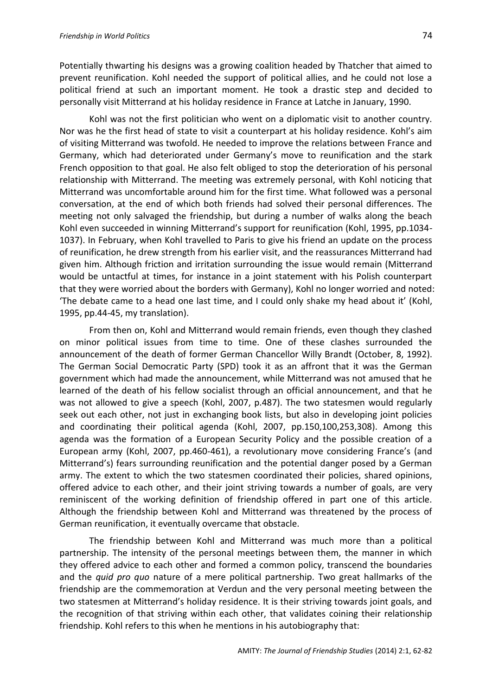Potentially thwarting his designs was a growing coalition headed by Thatcher that aimed to prevent reunification. Kohl needed the support of political allies, and he could not lose a political friend at such an important moment. He took a drastic step and decided to personally visit Mitterrand at his holiday residence in France at Latche in January, 1990.

Kohl was not the first politician who went on a diplomatic visit to another country. Nor was he the first head of state to visit a counterpart at his holiday residence. Kohl's aim of visiting Mitterrand was twofold. He needed to improve the relations between France and Germany, which had deteriorated under Germany's move to reunification and the stark French opposition to that goal. He also felt obliged to stop the deterioration of his personal relationship with Mitterrand. The meeting was extremely personal, with Kohl noticing that Mitterrand was uncomfortable around him for the first time. What followed was a personal conversation, at the end of which both friends had solved their personal differences. The meeting not only salvaged the friendship, but during a number of walks along the beach Kohl even succeeded in winning Mitterrand's support for reunification (Kohl, 1995, pp.1034- 1037). In February, when Kohl travelled to Paris to give his friend an update on the process of reunification, he drew strength from his earlier visit, and the reassurances Mitterrand had given him. Although friction and irritation surrounding the issue would remain (Mitterrand would be untactful at times, for instance in a joint statement with his Polish counterpart that they were worried about the borders with Germany), Kohl no longer worried and noted: 'The debate came to a head one last time, and I could only shake my head about it' (Kohl, 1995, pp.44-45, my translation).

From then on, Kohl and Mitterrand would remain friends, even though they clashed on minor political issues from time to time. One of these clashes surrounded the announcement of the death of former German Chancellor Willy Brandt (October, 8, 1992). The German Social Democratic Party (SPD) took it as an affront that it was the German government which had made the announcement, while Mitterrand was not amused that he learned of the death of his fellow socialist through an official announcement, and that he was not allowed to give a speech (Kohl, 2007, p.487). The two statesmen would regularly seek out each other, not just in exchanging book lists, but also in developing joint policies and coordinating their political agenda (Kohl, 2007, pp.150,100,253,308). Among this agenda was the formation of a European Security Policy and the possible creation of a European army (Kohl, 2007, pp.460-461), a revolutionary move considering France's (and Mitterrand's) fears surrounding reunification and the potential danger posed by a German army. The extent to which the two statesmen coordinated their policies, shared opinions, offered advice to each other, and their joint striving towards a number of goals, are very reminiscent of the working definition of friendship offered in part one of this article. Although the friendship between Kohl and Mitterrand was threatened by the process of German reunification, it eventually overcame that obstacle.

The friendship between Kohl and Mitterrand was much more than a political partnership. The intensity of the personal meetings between them, the manner in which they offered advice to each other and formed a common policy, transcend the boundaries and the *quid pro quo* nature of a mere political partnership. Two great hallmarks of the friendship are the commemoration at Verdun and the very personal meeting between the two statesmen at Mitterrand's holiday residence. It is their striving towards joint goals, and the recognition of that striving within each other, that validates coining their relationship friendship. Kohl refers to this when he mentions in his autobiography that: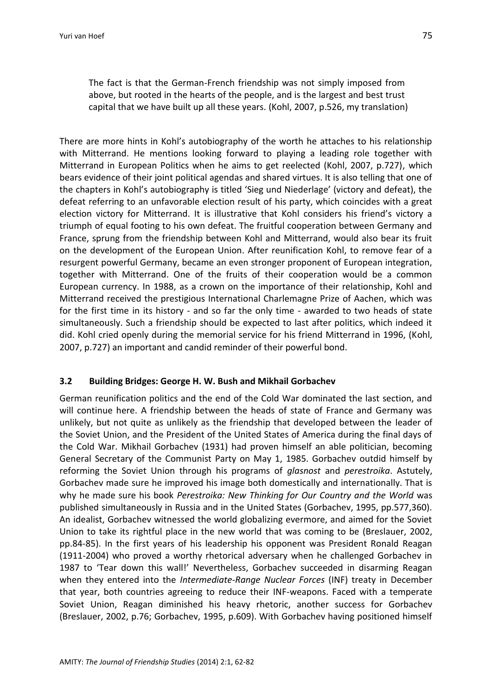The fact is that the German-French friendship was not simply imposed from above, but rooted in the hearts of the people, and is the largest and best trust capital that we have built up all these years. (Kohl, 2007, p.526, my translation)

There are more hints in Kohl's autobiography of the worth he attaches to his relationship with Mitterrand. He mentions looking forward to playing a leading role together with Mitterrand in European Politics when he aims to get reelected (Kohl, 2007, p.727), which bears evidence of their joint political agendas and shared virtues. It is also telling that one of the chapters in Kohl's autobiography is titled 'Sieg und Niederlage' (victory and defeat), the defeat referring to an unfavorable election result of his party, which coincides with a great election victory for Mitterrand. It is illustrative that Kohl considers his friend's victory a triumph of equal footing to his own defeat. The fruitful cooperation between Germany and France, sprung from the friendship between Kohl and Mitterrand, would also bear its fruit on the development of the European Union. After reunification Kohl, to remove fear of a resurgent powerful Germany, became an even stronger proponent of European integration, together with Mitterrand. One of the fruits of their cooperation would be a common European currency. In 1988, as a crown on the importance of their relationship, Kohl and Mitterrand received the prestigious International Charlemagne Prize of Aachen, which was for the first time in its history - and so far the only time - awarded to two heads of state simultaneously. Such a friendship should be expected to last after politics, which indeed it did. Kohl cried openly during the memorial service for his friend Mitterrand in 1996, (Kohl, 2007, p.727) an important and candid reminder of their powerful bond.

# **3.2 Building Bridges: George H. W. Bush and Mikhail Gorbachev**

German reunification politics and the end of the Cold War dominated the last section, and will continue here. A friendship between the heads of state of France and Germany was unlikely, but not quite as unlikely as the friendship that developed between the leader of the Soviet Union, and the President of the United States of America during the final days of the Cold War. Mikhail Gorbachev (1931) had proven himself an able politician, becoming General Secretary of the Communist Party on May 1, 1985. Gorbachev outdid himself by reforming the Soviet Union through his programs of *glasnost* and *perestroika*. Astutely, Gorbachev made sure he improved his image both domestically and internationally. That is why he made sure his book *Perestroika: New Thinking for Our Country and the World* was published simultaneously in Russia and in the United States (Gorbachev, 1995, pp.577,360). An idealist, Gorbachev witnessed the world globalizing evermore, and aimed for the Soviet Union to take its rightful place in the new world that was coming to be (Breslauer, 2002, pp.84-85). In the first years of his leadership his opponent was President Ronald Reagan (1911-2004) who proved a worthy rhetorical adversary when he challenged Gorbachev in 1987 to 'Tear down this wall!' Nevertheless, Gorbachev succeeded in disarming Reagan when they entered into the *Intermediate-Range Nuclear Forces* (INF) treaty in December that year, both countries agreeing to reduce their INF-weapons. Faced with a temperate Soviet Union, Reagan diminished his heavy rhetoric, another success for Gorbachev (Breslauer, 2002, p.76; Gorbachev, 1995, p.609). With Gorbachev having positioned himself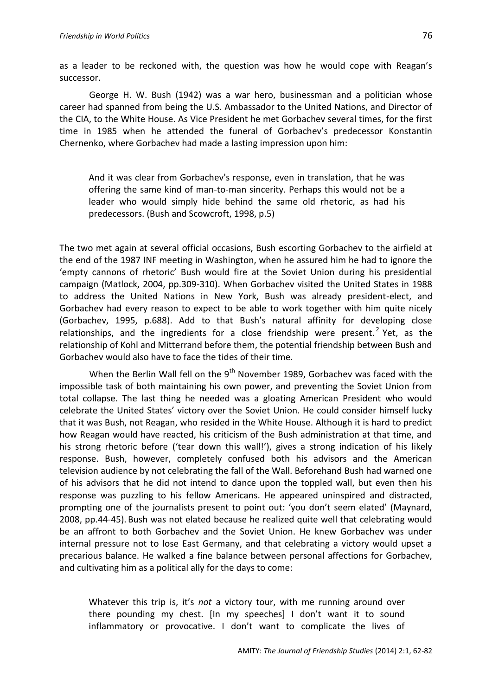as a leader to be reckoned with, the question was how he would cope with Reagan's successor.

George H. W. Bush (1942) was a war hero, businessman and a politician whose career had spanned from being the U.S. Ambassador to the United Nations, and Director of the CIA, to the White House. As Vice President he met Gorbachev several times, for the first time in 1985 when he attended the funeral of Gorbachev's predecessor Konstantin Chernenko, where Gorbachev had made a lasting impression upon him:

And it was clear from Gorbachev's response, even in translation, that he was offering the same kind of man-to-man sincerity. Perhaps this would not be a leader who would simply hide behind the same old rhetoric, as had his predecessors. (Bush and Scowcroft, 1998, p.5)

The two met again at several official occasions, Bush escorting Gorbachev to the airfield at the end of the 1987 INF meeting in Washington, when he assured him he had to ignore the 'empty cannons of rhetoric' Bush would fire at the Soviet Union during his presidential campaign (Matlock, 2004, pp.309-310). When Gorbachev visited the United States in 1988 to address the United Nations in New York, Bush was already president-elect, and Gorbachev had every reason to expect to be able to work together with him quite nicely (Gorbachev, 1995, p.688). Add to that Bush's natural affinity for developing close relationships, and the ingredients for a close friendship were present.<sup>2</sup> Yet, as the relationship of Kohl and Mitterrand before them, the potential friendship between Bush and Gorbachev would also have to face the tides of their time.

When the Berlin Wall fell on the  $9<sup>th</sup>$  November 1989, Gorbachev was faced with the impossible task of both maintaining his own power, and preventing the Soviet Union from total collapse. The last thing he needed was a gloating American President who would celebrate the United States' victory over the Soviet Union. He could consider himself lucky that it was Bush, not Reagan, who resided in the White House. Although it is hard to predict how Reagan would have reacted, his criticism of the Bush administration at that time, and his strong rhetoric before ('tear down this wall!'), gives a strong indication of his likely response. Bush, however, completely confused both his advisors and the American television audience by not celebrating the fall of the Wall. Beforehand Bush had warned one of his advisors that he did not intend to dance upon the toppled wall, but even then his response was puzzling to his fellow Americans. He appeared uninspired and distracted, prompting one of the journalists present to point out: 'you don't seem elated' (Maynard, 2008, pp.44-45). Bush was not elated because he realized quite well that celebrating would be an affront to both Gorbachev and the Soviet Union. He knew Gorbachev was under internal pressure not to lose East Germany, and that celebrating a victory would upset a precarious balance. He walked a fine balance between personal affections for Gorbachev, and cultivating him as a political ally for the days to come:

Whatever this trip is, it's *not* a victory tour, with me running around over there pounding my chest. [In my speeches] I don't want it to sound inflammatory or provocative. I don't want to complicate the lives of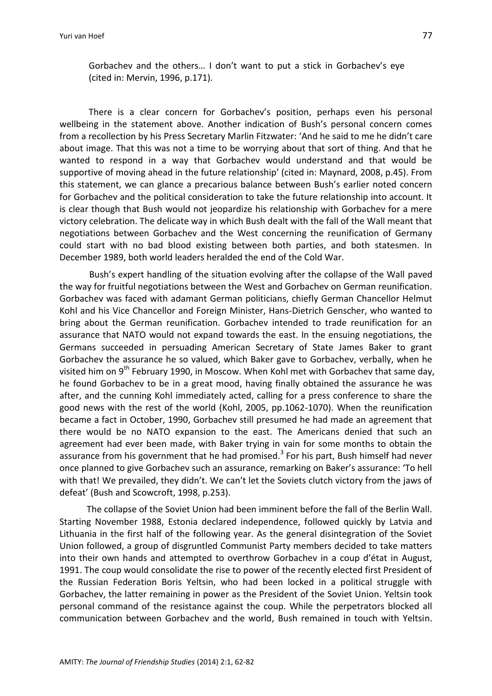Gorbachev and the others… I don't want to put a stick in Gorbachev's eye (cited in: Mervin, 1996, p.171).

There is a clear concern for Gorbachev's position, perhaps even his personal wellbeing in the statement above. Another indication of Bush's personal concern comes from a recollection by his Press Secretary Marlin Fitzwater: 'And he said to me he didn't care about image. That this was not a time to be worrying about that sort of thing. And that he wanted to respond in a way that Gorbachev would understand and that would be supportive of moving ahead in the future relationship' (cited in: Maynard, 2008, p.45). From this statement, we can glance a precarious balance between Bush's earlier noted concern for Gorbachev and the political consideration to take the future relationship into account. It is clear though that Bush would not jeopardize his relationship with Gorbachev for a mere victory celebration. The delicate way in which Bush dealt with the fall of the Wall meant that negotiations between Gorbachev and the West concerning the reunification of Germany could start with no bad blood existing between both parties, and both statesmen. In December 1989, both world leaders heralded the end of the Cold War.

Bush's expert handling of the situation evolving after the collapse of the Wall paved the way for fruitful negotiations between the West and Gorbachev on German reunification. Gorbachev was faced with adamant German politicians, chiefly German Chancellor Helmut Kohl and his Vice Chancellor and Foreign Minister, Hans-Dietrich Genscher, who wanted to bring about the German reunification. Gorbachev intended to trade reunification for an assurance that NATO would not expand towards the east. In the ensuing negotiations, the Germans succeeded in persuading American Secretary of State James Baker to grant Gorbachev the assurance he so valued, which Baker gave to Gorbachev, verbally, when he visited him on 9<sup>th</sup> February 1990, in Moscow. When Kohl met with Gorbachev that same day, he found Gorbachev to be in a great mood, having finally obtained the assurance he was after, and the cunning Kohl immediately acted, calling for a press conference to share the good news with the rest of the world (Kohl, 2005, pp.1062-1070). When the reunification became a fact in October, 1990, Gorbachev still presumed he had made an agreement that there would be no NATO expansion to the east. The Americans denied that such an agreement had ever been made, with Baker trying in vain for some months to obtain the assurance from his government that he had promised.<sup>3</sup> For his part, Bush himself had never once planned to give Gorbachev such an assurance, remarking on Baker's assurance: 'To hell with that! We prevailed, they didn't. We can't let the Soviets clutch victory from the jaws of defeat' (Bush and Scowcroft, 1998, p.253).

The collapse of the Soviet Union had been imminent before the fall of the Berlin Wall. Starting November 1988, Estonia declared independence, followed quickly by Latvia and Lithuania in the first half of the following year. As the general disintegration of the Soviet Union followed, a group of disgruntled Communist Party members decided to take matters into their own hands and attempted to overthrow Gorbachev in a coup d'état in August, 1991. The coup would consolidate the rise to power of the recently elected first President of the Russian Federation Boris Yeltsin, who had been locked in a political struggle with Gorbachev, the latter remaining in power as the President of the Soviet Union. Yeltsin took personal command of the resistance against the coup. While the perpetrators blocked all communication between Gorbachev and the world, Bush remained in touch with Yeltsin.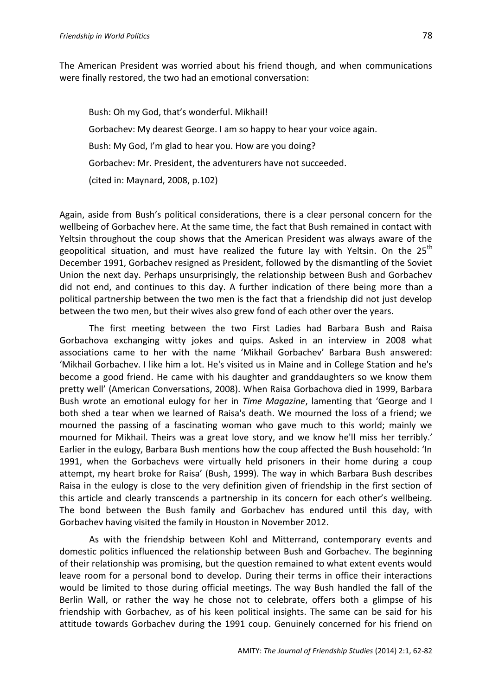The American President was worried about his friend though, and when communications were finally restored, the two had an emotional conversation:

Bush: Oh my God, that's wonderful. Mikhail! Gorbachev: My dearest George. I am so happy to hear your voice again. Bush: My God, I'm glad to hear you. How are you doing? Gorbachev: Mr. President, the adventurers have not succeeded. (cited in: Maynard, 2008, p.102)

Again, aside from Bush's political considerations, there is a clear personal concern for the wellbeing of Gorbachev here. At the same time, the fact that Bush remained in contact with Yeltsin throughout the coup shows that the American President was always aware of the geopolitical situation, and must have realized the future lay with Yeltsin. On the 25<sup>th</sup> December 1991, Gorbachev resigned as President, followed by the dismantling of the Soviet Union the next day. Perhaps unsurprisingly, the relationship between Bush and Gorbachev did not end, and continues to this day. A further indication of there being more than a political partnership between the two men is the fact that a friendship did not just develop between the two men, but their wives also grew fond of each other over the years.

The first meeting between the two First Ladies had Barbara Bush and Raisa Gorbachova exchanging witty jokes and quips. Asked in an interview in 2008 what associations came to her with the name 'Mikhail Gorbachev' Barbara Bush answered: 'Mikhail Gorbachev. I like him a lot. He's visited us in Maine and in College Station and he's become a good friend. He came with his daughter and granddaughters so we know them pretty well' (American Conversations, 2008). When Raisa Gorbachova died in 1999, Barbara Bush wrote an emotional eulogy for her in *Time Magazine*, lamenting that 'George and I both shed a tear when we learned of Raisa's death. We mourned the loss of a friend; we mourned the passing of a fascinating woman who gave much to this world; mainly we mourned for Mikhail. Theirs was a great love story, and we know he'll miss her terribly.' Earlier in the eulogy, Barbara Bush mentions how the coup affected the Bush household: 'In 1991, when the Gorbachevs were virtually held prisoners in their home during a coup attempt, my heart broke for Raisa' (Bush, 1999). The way in which Barbara Bush describes Raisa in the eulogy is close to the very definition given of friendship in the first section of this article and clearly transcends a partnership in its concern for each other's wellbeing. The bond between the Bush family and Gorbachev has endured until this day, with Gorbachev having visited the family in Houston in November 2012.

As with the friendship between Kohl and Mitterrand, contemporary events and domestic politics influenced the relationship between Bush and Gorbachev. The beginning of their relationship was promising, but the question remained to what extent events would leave room for a personal bond to develop. During their terms in office their interactions would be limited to those during official meetings. The way Bush handled the fall of the Berlin Wall, or rather the way he chose not to celebrate, offers both a glimpse of his friendship with Gorbachev, as of his keen political insights. The same can be said for his attitude towards Gorbachev during the 1991 coup. Genuinely concerned for his friend on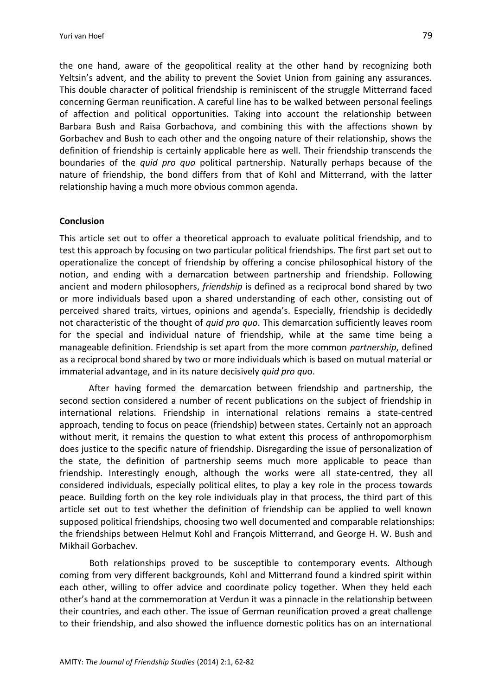the one hand, aware of the geopolitical reality at the other hand by recognizing both Yeltsin's advent, and the ability to prevent the Soviet Union from gaining any assurances. This double character of political friendship is reminiscent of the struggle Mitterrand faced concerning German reunification. A careful line has to be walked between personal feelings of affection and political opportunities. Taking into account the relationship between Barbara Bush and Raisa Gorbachova, and combining this with the affections shown by Gorbachev and Bush to each other and the ongoing nature of their relationship, shows the definition of friendship is certainly applicable here as well. Their friendship transcends the boundaries of the *quid pro quo* political partnership. Naturally perhaps because of the nature of friendship, the bond differs from that of Kohl and Mitterrand, with the latter relationship having a much more obvious common agenda.

#### **Conclusion**

This article set out to offer a theoretical approach to evaluate political friendship, and to test this approach by focusing on two particular political friendships. The first part set out to operationalize the concept of friendship by offering a concise philosophical history of the notion, and ending with a demarcation between partnership and friendship. Following ancient and modern philosophers, *friendship* is defined as a reciprocal bond shared by two or more individuals based upon a shared understanding of each other, consisting out of perceived shared traits, virtues, opinions and agenda's. Especially, friendship is decidedly not characteristic of the thought of *quid pro quo*. This demarcation sufficiently leaves room for the special and individual nature of friendship, while at the same time being a manageable definition. Friendship is set apart from the more common *partnership*, defined as a reciprocal bond shared by two or more individuals which is based on mutual material or immaterial advantage, and in its nature decisively *quid pro qu*o.

After having formed the demarcation between friendship and partnership, the second section considered a number of recent publications on the subject of friendship in international relations. Friendship in international relations remains a state-centred approach, tending to focus on peace (friendship) between states. Certainly not an approach without merit, it remains the question to what extent this process of anthropomorphism does justice to the specific nature of friendship. Disregarding the issue of personalization of the state, the definition of partnership seems much more applicable to peace than friendship. Interestingly enough, although the works were all state-centred, they all considered individuals, especially political elites, to play a key role in the process towards peace. Building forth on the key role individuals play in that process, the third part of this article set out to test whether the definition of friendship can be applied to well known supposed political friendships, choosing two well documented and comparable relationships: the friendships between Helmut Kohl and François Mitterrand, and George H. W. Bush and Mikhail Gorbachev.

Both relationships proved to be susceptible to contemporary events. Although coming from very different backgrounds, Kohl and Mitterrand found a kindred spirit within each other, willing to offer advice and coordinate policy together. When they held each other's hand at the commemoration at Verdun it was a pinnacle in the relationship between their countries, and each other. The issue of German reunification proved a great challenge to their friendship, and also showed the influence domestic politics has on an international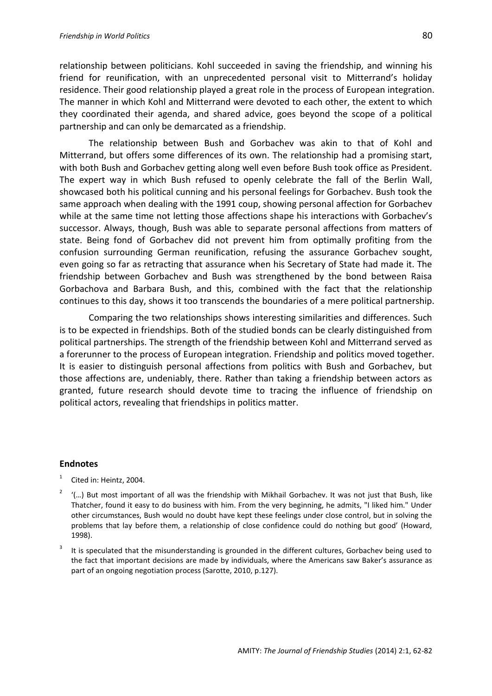relationship between politicians. Kohl succeeded in saving the friendship, and winning his friend for reunification, with an unprecedented personal visit to Mitterrand's holiday residence. Their good relationship played a great role in the process of European integration. The manner in which Kohl and Mitterrand were devoted to each other, the extent to which they coordinated their agenda, and shared advice, goes beyond the scope of a political partnership and can only be demarcated as a friendship.

The relationship between Bush and Gorbachev was akin to that of Kohl and Mitterrand, but offers some differences of its own. The relationship had a promising start, with both Bush and Gorbachev getting along well even before Bush took office as President. The expert way in which Bush refused to openly celebrate the fall of the Berlin Wall, showcased both his political cunning and his personal feelings for Gorbachev. Bush took the same approach when dealing with the 1991 coup, showing personal affection for Gorbachev while at the same time not letting those affections shape his interactions with Gorbachev's successor. Always, though, Bush was able to separate personal affections from matters of state. Being fond of Gorbachev did not prevent him from optimally profiting from the confusion surrounding German reunification, refusing the assurance Gorbachev sought, even going so far as retracting that assurance when his Secretary of State had made it. The friendship between Gorbachev and Bush was strengthened by the bond between Raisa Gorbachova and Barbara Bush, and this, combined with the fact that the relationship continues to this day, shows it too transcends the boundaries of a mere political partnership.

Comparing the two relationships shows interesting similarities and differences. Such is to be expected in friendships. Both of the studied bonds can be clearly distinguished from political partnerships. The strength of the friendship between Kohl and Mitterrand served as a forerunner to the process of European integration. Friendship and politics moved together. It is easier to distinguish personal affections from politics with Bush and Gorbachev, but those affections are, undeniably, there. Rather than taking a friendship between actors as granted, future research should devote time to tracing the influence of friendship on political actors, revealing that friendships in politics matter.

#### **Endnotes**

- 1 Cited in: Heintz, 2004.
- 2 '(…) But most important of all was the friendship with Mikhail Gorbachev. It was not just that Bush, like Thatcher, found it easy to do business with him. From the very beginning, he admits, "I liked him." Under other circumstances, Bush would no doubt have kept these feelings under close control, but in solving the problems that lay before them, a relationship of close confidence could do nothing but good' (Howard, 1998).
- 3 It is speculated that the misunderstanding is grounded in the different cultures, Gorbachev being used to the fact that important decisions are made by individuals, where the Americans saw Baker's assurance as part of an ongoing negotiation process (Sarotte, 2010, p.127).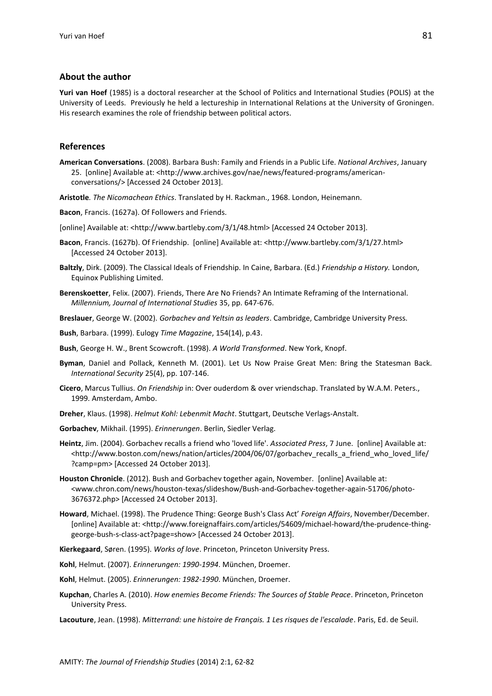#### **About the author**

**Yuri van Hoef** (1985) is a doctoral researcher at the School of Politics and International Studies (POLIS) at the University of Leeds. Previously he held a lectureship in International Relations at the University of Groningen. His research examines the role of friendship between political actors.

#### **References**

- **American Conversations**. (2008). Barbara Bush: Family and Friends in a Public Life. *National Archives*, January 25. [online] Available at: <http://www.archives.gov/nae/news/featured-programs/americanconversations/> [Accessed 24 October 2013].
- **Aristotle***. The Nicomachean Ethics*. Translated by H. Rackman., 1968. London, Heinemann.
- **Bacon**, Francis. (1627a). Of Followers and Friends.
- [online] Available at: <http://www.bartleby.com/3/1/48.html> [Accessed 24 October 2013].
- **Bacon**, Francis. (1627b). Of Friendship. [online] Available at: <http://www.bartleby.com/3/1/27.html> [Accessed 24 October 2013].
- **Baltzly**, Dirk. (2009). The Classical Ideals of Friendship. In Caine, Barbara. (Ed.) *Friendship a History.* London, Equinox Publishing Limited.
- **Berenskoetter**, Felix. (2007). Friends, There Are No Friends? An Intimate Reframing of the International. *Millennium, Journal of International Studies* 35, pp. 647-676.
- **Breslauer**, George W. (2002). *Gorbachev and Yeltsin as leaders*. Cambridge, Cambridge University Press.
- **Bush**, Barbara. (1999). Eulogy *Time Magazine*, 154(14), p.43.
- **Bush**, George H. W., Brent Scowcroft. (1998). *A World Transformed*. New York, Knopf.
- **Byman**, Daniel and Pollack, Kenneth M. (2001). Let Us Now Praise Great Men: Bring the Statesman Back. *International Security* 25(4), pp. 107-146.
- **Cicero**, Marcus Tullius. *On Friendship* in: Over ouderdom & over vriendschap. Translated by W.A.M. Peters., 1999. Amsterdam, Ambo.
- **Dreher**, Klaus. (1998). *Helmut Kohl: Lebenmit Macht*. Stuttgart, Deutsche Verlags-Anstalt.
- **Gorbachev**, Mikhail. (1995). *Erinnerungen*. Berlin, Siedler Verlag.
- **Heintz**, Jim. (2004). Gorbachev recalls a friend who 'loved life'. *Associated Press*, 7 June. [online] Available at: <http://www.boston.com/news/nation/articles/2004/06/07/gorbachev\_recalls\_a\_friend\_who\_loved\_life/ ?camp=pm> [Accessed 24 October 2013].
- **Houston Chronicle**. (2012). Bush and Gorbachev together again, November. [online] Available at: <www.chron.com/news/houston-texas/slideshow/Bush-and-Gorbachev-together-again-51706/photo-3676372.php> [Accessed 24 October 2013].
- **Howard**, Michael. (1998). The Prudence Thing: George Bush's Class Act' *Foreign Affairs*, November/December. [online] Available at: <http://www.foreignaffairs.com/articles/54609/michael-howard/the-prudence-thinggeorge-bush-s-class-act?page=show> [Accessed 24 October 2013].
- **Kierkegaard**, Søren. (1995). *Works of love*. Princeton, Princeton University Press.
- **Kohl**, Helmut. (2007). *Erinnerungen: 1990-1994*. München, Droemer.
- **Kohl**, Helmut. (2005). *Erinnerungen: 1982-1990*. München, Droemer.
- **Kupchan**, Charles A. (2010). *How enemies Become Friends: The Sources of Stable Peace*. Princeton, Princeton University Press.
- **Lacouture**, Jean. (1998). *Mitterrand: une histoire de Français. 1 Les risques de l'escalade*. Paris, Ed. de Seuil.